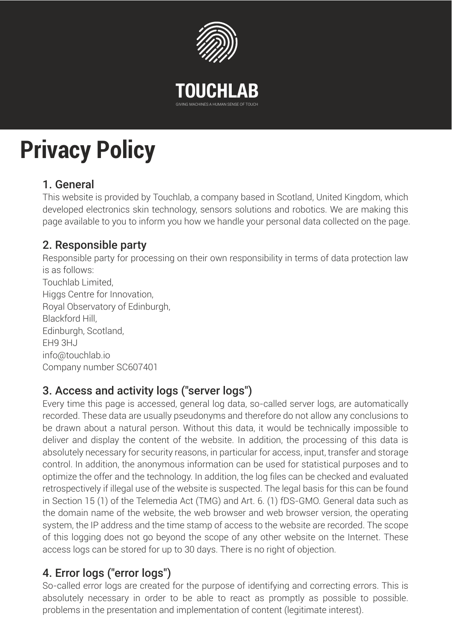

# **Privacy Policy**

# 1. General

This website is provided by Touchlab, a company based in Scotland, United Kingdom, which developed electronics skin technology, sensors solutions and robotics. We are making this page available to you to inform you how we handle your personal data collected on the page.

# 2. Responsible party

Responsible party for processing on their own responsibility in terms of data protection law is as follows: Touchlab Limited, Higgs Centre for Innovation, Royal Observatory of Edinburgh, Blackford Hill, Edinburgh, Scotland, EH9 3HJ info@touchlab.io Company number SC607401

# 3. Access and activity logs ("server logs")

Every time this page is accessed, general log data, so-called server logs, are automatically recorded. These data are usually pseudonyms and therefore do not allow any conclusions to be drawn about a natural person. Without this data, it would be technically impossible to deliver and display the content of the website. In addition, the processing of this data is absolutely necessary for security reasons, in particular for access, input, transfer and storage control. In addition, the anonymous information can be used for statistical purposes and to optimize the offer and the technology. In addition, the log files can be checked and evaluated retrospectively if illegal use of the website is suspected. The legal basis for this can be found in Section 15 (1) of the Telemedia Act (TMG) and Art. 6. (1) fDS-GMO. General data such as the domain name of the website, the web browser and web browser version, the operating system, the IP address and the time stamp of access to the website are recorded. The scope of this logging does not go beyond the scope of any other website on the Internet. These access logs can be stored for up to 30 days. There is no right of objection.

# 4. Error logs ("error logs")

So-called error logs are created for the purpose of identifying and correcting errors. This is absolutely necessary in order to be able to react as promptly as possible to possible. problems in the presentation and implementation of content (legitimate interest).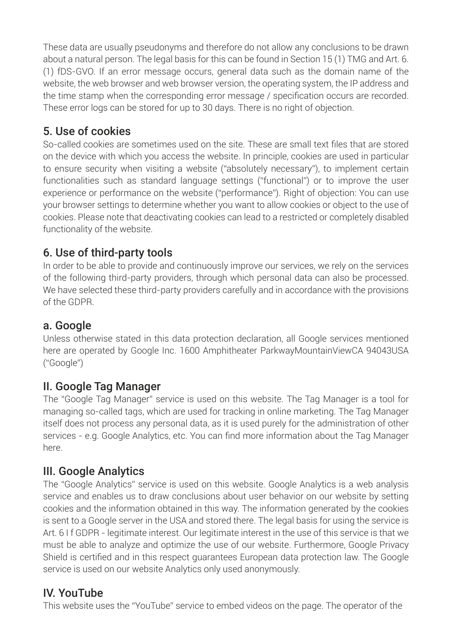These data are usually pseudonyms and therefore do not allow any conclusions to be drawn about a natural person. The legal basis for this can be found in Section 15 (1) TMG and Art. 6. (1) fDS-GVO. If an error message occurs, general data such as the domain name of the website, the web browser and web browser version, the operating system, the IP address and the time stamp when the corresponding error message / specification occurs are recorded. These error logs can be stored for up to 30 days. There is no right of objection.

## 5. Use of cookies

So-called cookies are sometimes used on the site. These are small text files that are stored on the device with which you access the website. In principle, cookies are used in particular to ensure security when visiting a website ("absolutely necessary"), to implement certain functionalities such as standard language settings ("functional") or to improve the user experience or performance on the website ("performance"). Right of objection: You can use your browser settings to determine whether you want to allow cookies or object to the use of cookies. Please note that deactivating cookies can lead to a restricted or completely disabled functionality of the website.

## 6. Use of third-party tools

In order to be able to provide and continuously improve our services, we rely on the services of the following third-party providers, through which personal data can also be processed. We have selected these third-party providers carefully and in accordance with the provisions of the GDPR.

#### a. Google

Unless otherwise stated in this data protection declaration, all Google services mentioned here are operated by Google Inc. 1600 Amphitheater ParkwayMountainViewCA 94043USA ("Google")

#### II. Google Tag Manager

The "Google Tag Manager" service is used on this website. The Tag Manager is a tool for managing so-called tags, which are used for tracking in online marketing. The Tag Manager itself does not process any personal data, as it is used purely for the administration of other services - e.g. Google Analytics, etc. You can find more information about the Tag Manager here.

## III. Google Analytics

The "Google Analytics" service is used on this website. Google Analytics is a web analysis service and enables us to draw conclusions about user behavior on our website by setting cookies and the information obtained in this way. The information generated by the cookies is sent to a Google server in the USA and stored there. The legal basis for using the service is Art. 6 I f GDPR - legitimate interest. Our legitimate interest in the use of this service is that we must be able to analyze and optimize the use of our website. Furthermore, Google Privacy Shield is certified and in this respect guarantees European data protection law. The Google service is used on our website Analytics only used anonymously.

#### IV. YouTube

This website uses the "YouTube" service to embed videos on the page. The operator of the